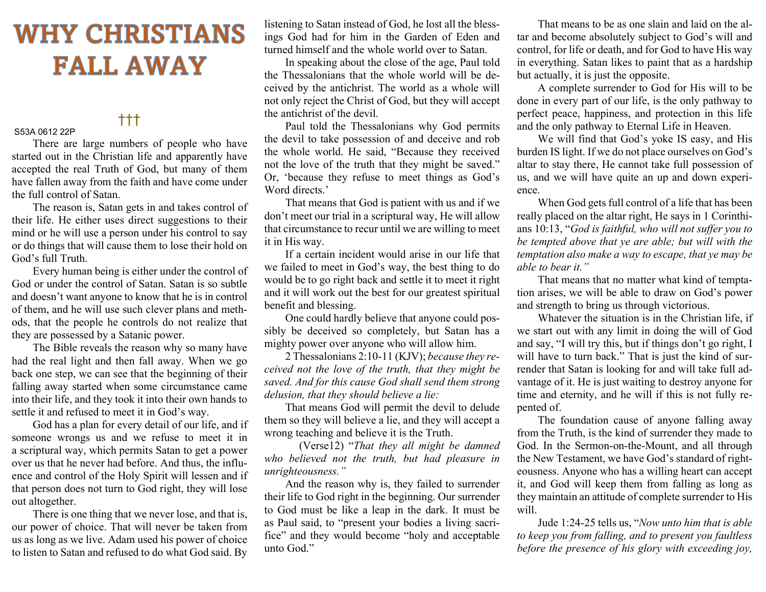## **WHY CHRISTIANS FALL AWAY**

## †††

S53A 0612 22P

There are large numbers of people who have started out in the Christian life and apparently have accepted the real Truth of God, but many of them have fallen away from the faith and have come under the full control of Satan.

 The reason is, Satan gets in and takes control of their life. He either uses direct suggestions to their mind or he will use a person under his control to say or do things that will cause them to lose their hold on God's full Truth.

 Every human being is either under the control of God or under the control of Satan. Satan is so subtle and doesn't want anyone to know that he is in control of them, and he will use such clever plans and methods, that the people he controls do not realize that they are possessed by a Satanic power.

 The Bible reveals the reason why so many have had the real light and then fall away. When we go back one step, we can see that the beginning of their falling away started when some circumstance came into their life, and they took it into their own hands to settle it and refused to meet it in God's way.

 God has a plan for every detail of our life, and if someone wrongs us and we refuse to meet it in a scriptural way, which permits Satan to get a power over us that he never had before. And thus, the influence and control of the Holy Spirit will lessen and if that person does not turn to God right, they will lose out altogether.

 There is one thing that we never lose, and that is, our power of choice. That will never be taken from us as long as we live. Adam used his power of choice to listen to Satan and refused to do what God said. By listening to Satan instead of God, he lost all the blessings God had for him in the Garden of Eden and turned himself and the whole world over to Satan.

 In speaking about the close of the age, Paul told the Thessalonians that the whole world will be deceived by the antichrist. The world as a whole will not only reject the Christ of God, but they will accept the antichrist of the devil.

 Paul told the Thessalonians why God permits the devil to take possession of and deceive and rob the whole world. He said, "Because they received not the love of the truth that they might be saved." Or, 'because they refuse to meet things as God's Word directs.'

 That means that God is patient with us and if we don't meet our trial in a scriptural way, He will allow that circumstance to recur until we are willing to meet it in His way.

 If a certain incident would arise in our life that we failed to meet in God's way, the best thing to do would be to go right back and settle it to meet it right and it will work out the best for our greatest spiritual benefit and blessing.

 One could hardly believe that anyone could possibly be deceived so completely, but Satan has a mighty power over anyone who will allow him.

 2 Thessalonians 2:10-11 (KJV); because they received not the love of the truth, that they might be saved. And for this cause God shall send them strong delusion, that they should believe a lie:

 That means God will permit the devil to delude them so they will believe a lie, and they will accept a wrong teaching and believe it is the Truth.

(Verse12) "That they all might be damned who believed not the truth, but had pleasure in unrighteousness."

 And the reason why is, they failed to surrender their life to God right in the beginning. Our surrender to God must be like a leap in the dark. It must be as Paul said, to "present your bodies a living sacrifice" and they would become "holy and acceptable unto God."

 That means to be as one slain and laid on the altar and become absolutely subject to God's will and control, for life or death, and for God to have His way in everything. Satan likes to paint that as a hardship but actually, it is just the opposite.

 A complete surrender to God for His will to be done in every part of our life, is the only pathway to perfect peace, happiness, and protection in this life and the only pathway to Eternal Life in Heaven.

 We will find that God's yoke IS easy, and His burden IS light. If we do not place ourselves on God's altar to stay there, He cannot take full possession of us, and we will have quite an up and down experience.

 When God gets full control of a life that has been really placed on the altar right, He says in 1 Corinthians 10:13, "God is faithful, who will not suffer you to be tempted above that ye are able; but will with the temptation also make a way to escape, that ye may be able to bear it."

 That means that no matter what kind of temptation arises, we will be able to draw on God's power and strength to bring us through victorious.

 Whatever the situation is in the Christian life, if we start out with any limit in doing the will of God and say, "I will try this, but if things don't go right, I will have to turn back." That is just the kind of surrender that Satan is looking for and will take full advantage of it. He is just waiting to destroy anyone for time and eternity, and he will if this is not fully repented of.

 The foundation cause of anyone falling away from the Truth, is the kind of surrender they made to God. In the Sermon-on-the-Mount, and all through the New Testament, we have God's standard of righteousness. Anyone who has a willing heart can accept it, and God will keep them from falling as long as they maintain an attitude of complete surrender to His will.

 Jude 1:24-25 tells us, "Now unto him that is able to keep you from falling, and to present you faultless before the presence of his glory with exceeding joy,